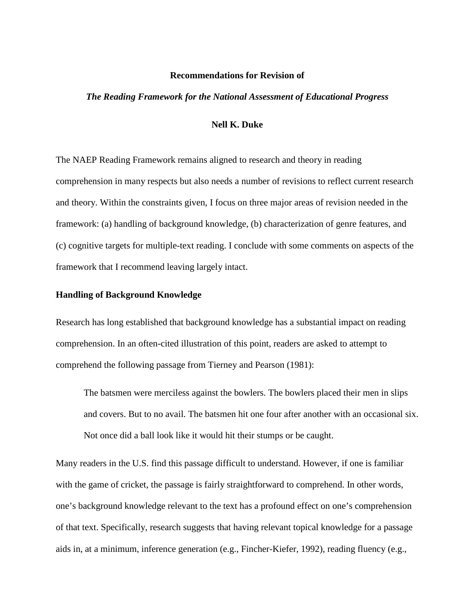#### **Recommendations for Revision of**

#### *The Reading Framework for the National Assessment of Educational Progress*

# **Nell K. Duke**

The NAEP Reading Framework remains aligned to research and theory in reading comprehension in many respects but also needs a number of revisions to reflect current research and theory. Within the constraints given, I focus on three major areas of revision needed in the framework: (a) handling of background knowledge, (b) characterization of genre features, and (c) cognitive targets for multiple-text reading. I conclude with some comments on aspects of the framework that I recommend leaving largely intact.

## **Handling of Background Knowledge**

Research has long established that background knowledge has a substantial impact on reading comprehension. In an often-cited illustration of this point, readers are asked to attempt to comprehend the following passage from Tierney and Pearson (1981):

The batsmen were merciless against the bowlers. The bowlers placed their men in slips and covers. But to no avail. The batsmen hit one four after another with an occasional six. Not once did a ball look like it would hit their stumps or be caught.

Many readers in the U.S. find this passage difficult to understand. However, if one is familiar with the game of cricket, the passage is fairly straightforward to comprehend. In other words, one's background knowledge relevant to the text has a profound effect on one's comprehension of that text. Specifically, research suggests that having relevant topical knowledge for a passage aids in, at a minimum, inference generation (e.g., Fincher-Kiefer, 1992), reading fluency (e.g.,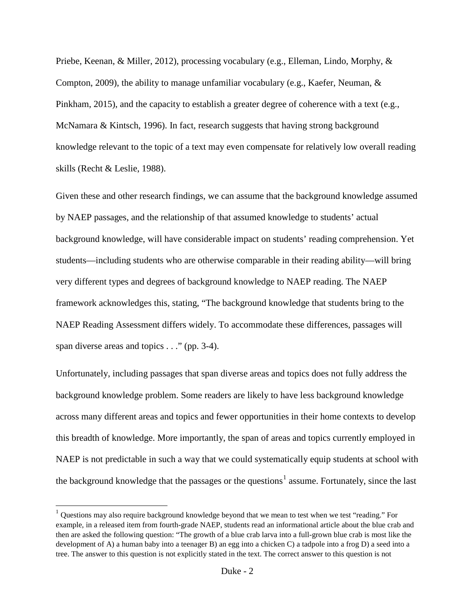Priebe, Keenan, & Miller, 2012), processing vocabulary (e.g., Elleman, Lindo, Morphy, & Compton, 2009), the ability to manage unfamiliar vocabulary (e.g., Kaefer, Neuman, & Pinkham, 2015), and the capacity to establish a greater degree of coherence with a text (e.g., McNamara & Kintsch, 1996). In fact, research suggests that having strong background knowledge relevant to the topic of a text may even compensate for relatively low overall reading skills (Recht & Leslie, 1988).

Given these and other research findings, we can assume that the background knowledge assumed by NAEP passages, and the relationship of that assumed knowledge to students' actual background knowledge, will have considerable impact on students' reading comprehension. Yet students—including students who are otherwise comparable in their reading ability—will bring very different types and degrees of background knowledge to NAEP reading. The NAEP framework acknowledges this, stating, "The background knowledge that students bring to the NAEP Reading Assessment differs widely. To accommodate these differences, passages will span diverse areas and topics . . ." (pp. 3-4).

Unfortunately, including passages that span diverse areas and topics does not fully address the background knowledge problem. Some readers are likely to have less background knowledge across many different areas and topics and fewer opportunities in their home contexts to develop this breadth of knowledge. More importantly, the span of areas and topics currently employed in NAEP is not predictable in such a way that we could systematically equip students at school with the background knowledge that the passages or the questions<sup>[1](#page-1-0)</sup> assume. Fortunately, since the last

<span id="page-1-0"></span><sup>1</sup> Questions may also require background knowledge beyond that we mean to test when we test "reading." For example, in a released item from fourth-grade NAEP, students read an informational article about the blue crab and then are asked the following question: "The growth of a blue crab larva into a full-grown blue crab is most like the development of A) a human baby into a teenager B) an egg into a chicken C) a tadpole into a frog D) a seed into a tree. The answer to this question is not explicitly stated in the text. The correct answer to this question is not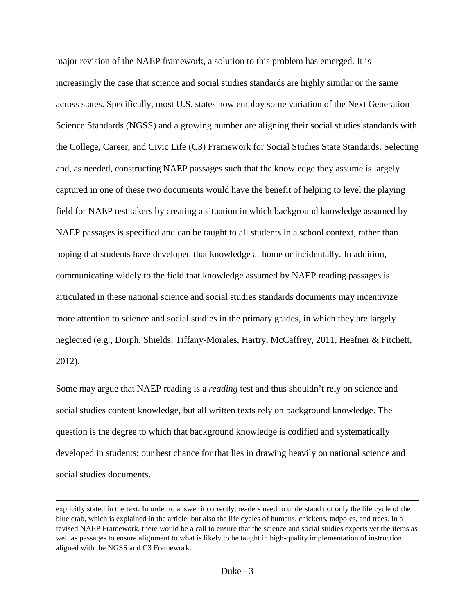major revision of the NAEP framework, a solution to this problem has emerged. It is increasingly the case that science and social studies standards are highly similar or the same across states. Specifically, most U.S. states now employ some variation of the Next Generation Science Standards (NGSS) and a growing number are aligning their social studies standards with the College, Career, and Civic Life (C3) Framework for Social Studies State Standards. Selecting and, as needed, constructing NAEP passages such that the knowledge they assume is largely captured in one of these two documents would have the benefit of helping to level the playing field for NAEP test takers by creating a situation in which background knowledge assumed by NAEP passages is specified and can be taught to all students in a school context, rather than hoping that students have developed that knowledge at home or incidentally. In addition, communicating widely to the field that knowledge assumed by NAEP reading passages is articulated in these national science and social studies standards documents may incentivize more attention to science and social studies in the primary grades, in which they are largely neglected (e.g., Dorph, Shields, Tiffany-Morales, Hartry, McCaffrey, 2011, Heafner & Fitchett, 2012).

Some may argue that NAEP reading is a *reading* test and thus shouldn't rely on science and social studies content knowledge, but all written texts rely on background knowledge. The question is the degree to which that background knowledge is codified and systematically developed in students; our best chance for that lies in drawing heavily on national science and social studies documents.

 $\overline{\phantom{a}}$ 

explicitly stated in the text. In order to answer it correctly, readers need to understand not only the life cycle of the blue crab, which is explained in the article, but also the life cycles of humans, chickens, tadpoles, and trees. In a revised NAEP Framework, there would be a call to ensure that the science and social studies experts vet the items as well as passages to ensure alignment to what is likely to be taught in high-quality implementation of instruction aligned with the NGSS and C3 Framework.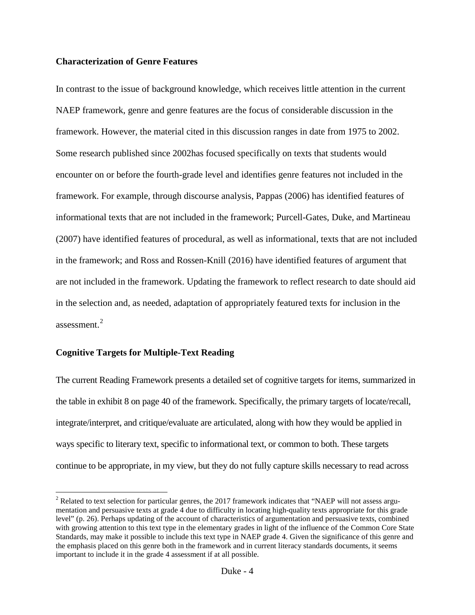## **Characterization of Genre Features**

In contrast to the issue of background knowledge, which receives little attention in the current NAEP framework, genre and genre features are the focus of considerable discussion in the framework. However, the material cited in this discussion ranges in date from 1975 to 2002. Some research published since 2002has focused specifically on texts that students would encounter on or before the fourth-grade level and identifies genre features not included in the framework. For example, through discourse analysis, Pappas (2006) has identified features of informational texts that are not included in the framework; Purcell-Gates, Duke, and Martineau (2007) have identified features of procedural, as well as informational, texts that are not included in the framework; and Ross and Rossen-Knill (2016) have identified features of argument that are not included in the framework. Updating the framework to reflect research to date should aid in the selection and, as needed, adaptation of appropriately featured texts for inclusion in the assessment.[2](#page-3-0)

# **Cognitive Targets for Multiple-Text Reading**

The current Reading Framework presents a detailed set of cognitive targets for items, summarized in the table in exhibit 8 on page 40 of the framework. Specifically, the primary targets of locate/recall, integrate/interpret, and critique/evaluate are articulated, along with how they would be applied in ways specific to literary text, specific to informational text, or common to both. These targets continue to be appropriate, in my view, but they do not fully capture skills necessary to read across

<span id="page-3-0"></span> $2$  Related to text selection for particular genres, the 2017 framework indicates that "NAEP will not assess argumentation and persuasive texts at grade 4 due to difficulty in locating high-quality texts appropriate for this grade level" (p. 26). Perhaps updating of the account of characteristics of argumentation and persuasive texts, combined with growing attention to this text type in the elementary grades in light of the influence of the Common Core State Standards, may make it possible to include this text type in NAEP grade 4. Given the significance of this genre and the emphasis placed on this genre both in the framework and in current literacy standards documents, it seems important to include it in the grade 4 assessment if at all possible.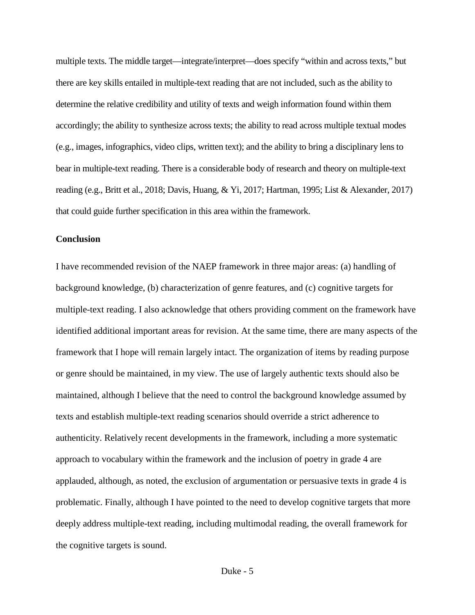multiple texts. The middle target—integrate/interpret—does specify "within and across texts," but there are key skills entailed in multiple-text reading that are not included, such as the ability to determine the relative credibility and utility of texts and weigh information found within them accordingly; the ability to synthesize across texts; the ability to read across multiple textual modes (e.g., images, infographics, video clips, written text); and the ability to bring a disciplinary lens to bear in multiple-text reading. There is a considerable body of research and theory on multiple-text reading (e.g., Britt et al., 2018; Davis, Huang, & Yi, 2017; Hartman, 1995; List & Alexander, 2017) that could guide further specification in this area within the framework.

# **Conclusion**

I have recommended revision of the NAEP framework in three major areas: (a) handling of background knowledge, (b) characterization of genre features, and (c) cognitive targets for multiple-text reading. I also acknowledge that others providing comment on the framework have identified additional important areas for revision. At the same time, there are many aspects of the framework that I hope will remain largely intact. The organization of items by reading purpose or genre should be maintained, in my view. The use of largely authentic texts should also be maintained, although I believe that the need to control the background knowledge assumed by texts and establish multiple-text reading scenarios should override a strict adherence to authenticity. Relatively recent developments in the framework, including a more systematic approach to vocabulary within the framework and the inclusion of poetry in grade 4 are applauded, although, as noted, the exclusion of argumentation or persuasive texts in grade 4 is problematic. Finally, although I have pointed to the need to develop cognitive targets that more deeply address multiple-text reading, including multimodal reading, the overall framework for the cognitive targets is sound.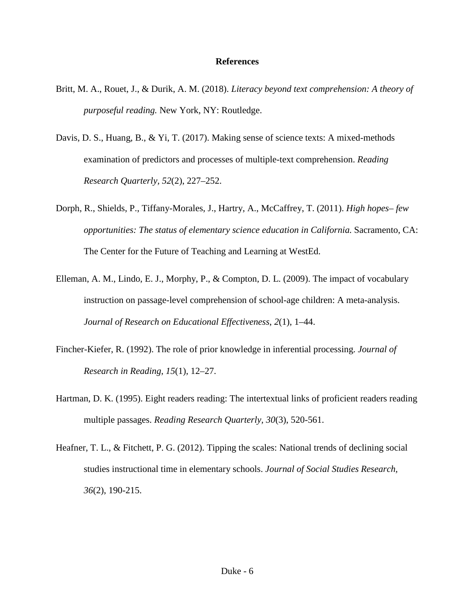### **References**

- Britt, M. A., Rouet, J., & Durik, A. M. (2018). *Literacy beyond text comprehension: A theory of purposeful reading.* New York, NY: Routledge.
- Davis, D. S., Huang, B., & Yi, T. (2017). Making sense of science texts: A mixed-methods examination of predictors and processes of multiple-text comprehension. *Reading Research Quarterly, 52*(2), 227–252.
- Dorph, R., Shields, P., Tiffany-Morales, J., Hartry, A., McCaffrey, T. (2011). *High hopes– few opportunities: The status of elementary science education in California.* Sacramento, CA: The Center for the Future of Teaching and Learning at WestEd.
- Elleman, A. M., Lindo, E. J., Morphy, P., & Compton, D. L. (2009). The impact of vocabulary instruction on passage-level comprehension of school-age children: A meta-analysis. *Journal of Research on Educational Effectiveness*, *2*(1), 1–44.
- Fincher-Kiefer, R. (1992). The role of prior knowledge in inferential processing. *Journal of Research in Reading*, *15*(1), 12–27.
- Hartman, D. K. (1995). Eight readers reading: The intertextual links of proficient readers reading multiple passages. *Reading Research Quarterly, 30*(3), 520-561.
- Heafner, T. L., & Fitchett, P. G. (2012). Tipping the scales: National trends of declining social studies instructional time in elementary schools. *Journal of Social Studies Research, 36*(2), 190-215.